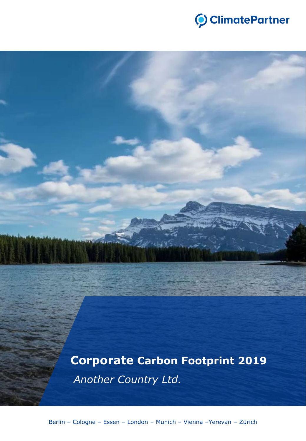

**Corporate Carbon Footprint 2019** *Another Country Ltd.*

Berlin – Cologne – Essen – London – Munich – Vienna –Yerevan – Zürich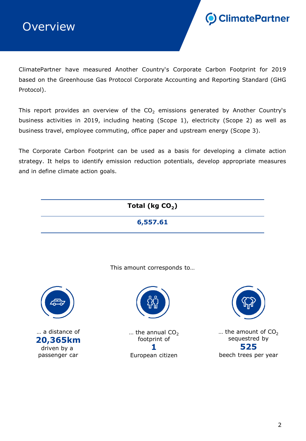



ClimatePartner have measured Another Country's Corporate Carbon Footprint for 2019 based on the Greenhouse Gas Protocol Corporate Accounting and Reporting Standard (GHG Protocol).

This report provides an overview of the  $CO<sub>2</sub>$  emissions generated by Another Country's business activities in 2019, including heating (Scope 1), electricity (Scope 2) as well as business travel, employee commuting, office paper and upstream energy (Scope 3).

The Corporate Carbon Footprint can be used as a basis for developing a climate action strategy. It helps to identify emission reduction potentials, develop appropriate measures and in define climate action goals.

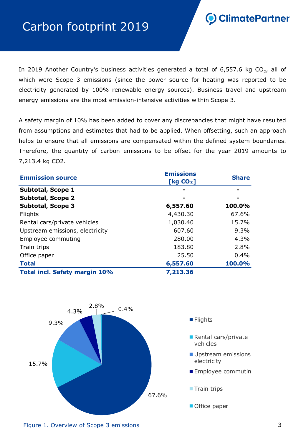# Carbon footprint 2019

ClimatePartner

In 2019 Another Country's business activities generated a total of 6,557.6 kg CO<sub>2</sub>, all of which were Scope 3 emissions (since the power source for heating was reported to be electricity generated by 100% renewable energy sources). Business travel and upstream energy emissions are the most emission-intensive activities within Scope 3.

A safety margin of 10% has been added to cover any discrepancies that might have resulted from assumptions and estimates that had to be applied. When offsetting, such an approach helps to ensure that all emissions are compensated within the defined system boundaries. Therefore, the quantity of carbon emissions to be offset for the year 2019 amounts to 7,213.4 kg CO2.

| <b>Emmission source</b>              | <b>Emissions</b><br>[ $kg CO2$ ] | <b>Share</b> |
|--------------------------------------|----------------------------------|--------------|
| <b>Subtotal, Scope 1</b>             |                                  |              |
| <b>Subtotal, Scope 2</b>             |                                  |              |
| <b>Subtotal, Scope 3</b>             | 6,557.60                         | 100.0%       |
| Flights                              | 4,430.30                         | 67.6%        |
| Rental cars/private vehicles         | 1,030.40                         | 15.7%        |
| Upstream emissions, electricity      | 607.60                           | 9.3%         |
| Employee commuting                   | 280.00                           | 4.3%         |
| Train trips                          | 183.80                           | 2.8%         |
| Office paper                         | 25.50                            | $0.4\%$      |
| <b>Total</b>                         | 6,557.60                         | 100.0%       |
| <b>Total incl. Safety margin 10%</b> | 7,213.36                         |              |



Figure 1. Overview of Scope 3 emissions 3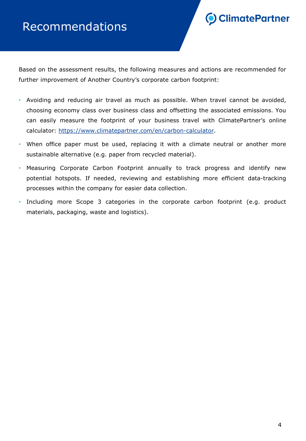# Recommendations



Based on the assessment results, the following measures and actions are recommended for further improvement of Another Country's corporate carbon footprint:

- Avoiding and reducing air travel as much as possible. When travel cannot be avoided, choosing economy class over business class and offsetting the associated emissions. You can easily measure the footprint of your business travel with ClimatePartner's online calculator: [https://www.climatepartner.com/en/carbon-calculator.](https://www.climatepartner.com/en/carbon-calculator)
- When office paper must be used, replacing it with a climate neutral or another more sustainable alternative (e.g. paper from recycled material).
- Measuring Corporate Carbon Footprint annually to track progress and identify new potential hotspots. If needed, reviewing and establishing more efficient data-tracking processes within the company for easier data collection.
- Including more Scope 3 categories in the corporate carbon footprint (e.g. product materials, packaging, waste and logistics).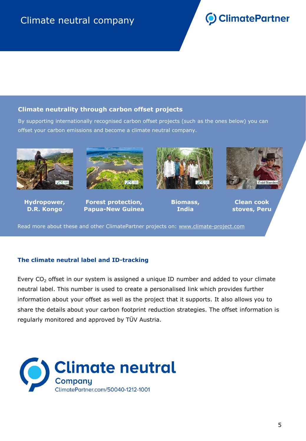# **O** ClimatePartner

### **Climate neutrality through carbon offset projects**

[By supporting internationally recognised carbon offset projects \(such as the ones below\) you can](http://www.climate-project.com/)  offset your carbon emissions and become a climate neutral company.



**Hydropower, D.R. Kongo**



**Forest protection, Papua-New Guinea**



**Biomass, India**



**Clean cook stoves, Peru**

Read more about these and other ClimatePartner projects on: www.climate-project.com

#### **The climate neutral label and ID-tracking**

Every  $CO<sub>2</sub>$  offset in our system is assigned a unique ID number and added to your climate neutral label. This number is used to create a personalised link which provides further information about your offset as well as the project that it supports. It also allows you to share the details about your carbon footprint reduction strategies. The offset information is regularly monitored and approved by TÜV Austria.

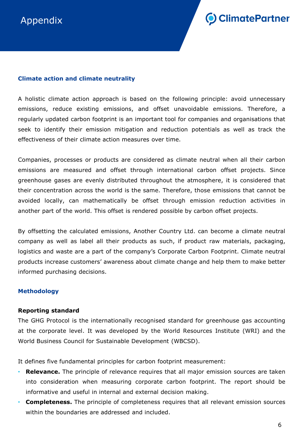

#### **Climate action and climate neutrality**

A holistic climate action approach is based on the following principle: avoid unnecessary emissions, reduce existing emissions, and offset unavoidable emissions. Therefore, a regularly updated carbon footprint is an important tool for companies and organisations that seek to identify their emission mitigation and reduction potentials as well as track the effectiveness of their climate action measures over time.

Companies, processes or products are considered as climate neutral when all their carbon emissions are measured and offset through international carbon offset projects. Since greenhouse gases are evenly distributed throughout the atmosphere, it is considered that their concentration across the world is the same. Therefore, those emissions that cannot be avoided locally, can mathematically be offset through emission reduction activities in another part of the world. This offset is rendered possible by carbon offset projects.

By offsetting the calculated emissions, Another Country Ltd. can become a climate neutral company as well as label all their products as such, if product raw materials, packaging, logistics and waste are a part of the company's Corporate Carbon Footprint. Climate neutral products increase customers' awareness about climate change and help them to make better informed purchasing decisions.

#### **Methodology**

#### **Reporting standard**

The GHG Protocol is the internationally recognised standard for greenhouse gas accounting at the corporate level. It was developed by the World Resources Institute (WRI) and the World Business Council for Sustainable Development (WBCSD).

It defines five fundamental principles for carbon footprint measurement:

- **Relevance.** The principle of relevance requires that all major emission sources are taken into consideration when measuring corporate carbon footprint. The report should be informative and useful in internal and external decision making.
- **Completeness.** The principle of completeness requires that all relevant emission sources within the boundaries are addressed and included.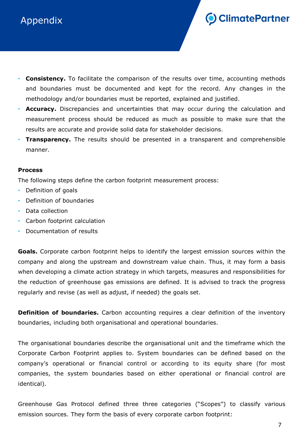# Appendix



- **Consistency.** To facilitate the comparison of the results over time, accounting methods and boundaries must be documented and kept for the record. Any changes in the methodology and/or boundaries must be reported, explained and justified.
- **Accuracy.** Discrepancies and uncertainties that may occur during the calculation and measurement process should be reduced as much as possible to make sure that the results are accurate and provide solid data for stakeholder decisions.
- **Transparency.** The results should be presented in a transparent and comprehensible manner.

#### **Process**

The following steps define the carbon footprint measurement process:

- Definition of goals
- Definition of boundaries
- Data collection
- Carbon footprint calculation
- Documentation of results

**Goals.** Corporate carbon footprint helps to identify the largest emission sources within the company and along the upstream and downstream value chain. Thus, it may form a basis when developing a climate action strategy in which targets, measures and responsibilities for the reduction of greenhouse gas emissions are defined. It is advised to track the progress regularly and revise (as well as adjust, if needed) the goals set.

**Definition of boundaries.** Carbon accounting requires a clear definition of the inventory boundaries, including both organisational and operational boundaries.

The organisational boundaries describe the organisational unit and the timeframe which the Corporate Carbon Footprint applies to. System boundaries can be defined based on the company's operational or financial control or according to its equity share (for most companies, the system boundaries based on either operational or financial control are identical).

Greenhouse Gas Protocol defined three three categories ("Scopes") to classify various emission sources. They form the basis of every corporate carbon footprint: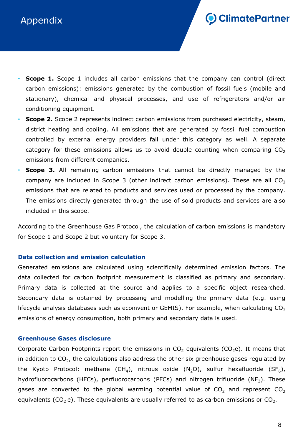## Appendix



- **Scope 1.** Scope 1 includes all carbon emissions that the company can control (direct carbon emissions): emissions generated by the combustion of fossil fuels (mobile and stationary), chemical and physical processes, and use of refrigerators and/or air conditioning equipment.
- **Scope 2.** Scope 2 represents indirect carbon emissions from purchased electricity, steam, district heating and cooling. All emissions that are generated by fossil fuel combustion controlled by external energy providers fall under this category as well. A separate category for these emissions allows us to avoid double counting when comparing  $CO<sub>2</sub>$ emissions from different companies.
- **Scope 3.** All remaining carbon emissions that cannot be directly managed by the company are included in Scope 3 (other indirect carbon emissions). These are all  $CO<sub>2</sub>$ emissions that are related to products and services used or processed by the company. The emissions directly generated through the use of sold products and services are also included in this scope.

According to the Greenhouse Gas Protocol, the calculation of carbon emissions is mandatory for Scope 1 and Scope 2 but voluntary for Scope 3.

#### **Data collection and emission calculation**

Generated emissions are calculated using scientifically determined emission factors. The data collected for carbon footprint measurement is classified as primary and secondary. Primary data is collected at the source and applies to a specific object researched. Secondary data is obtained by processing and modelling the primary data (e.g. using lifecycle analysis databases such as ecoinvent or GEMIS). For example, when calculating  $CO<sub>2</sub>$ emissions of energy consumption, both primary and secondary data is used.

#### **Greenhouse Gases disclosure**

Corporate Carbon Footprints report the emissions in  $CO<sub>2</sub>$  equivalents (CO<sub>2</sub>e). It means that in addition to CO<sub>2</sub>, the calculations also address the other six greenhouse gases regulated by the Kyoto Protocol: methane (CH<sub>4</sub>), nitrous oxide (N<sub>2</sub>O), sulfur hexafluoride (SF<sub>6</sub>), hydrofluorocarbons (HFCs), perfluorocarbons (PFCs) and nitrogen trifluoride (NF<sub>3</sub>). These gases are converted to the global warming potential value of  $CO_2$  and represent  $CO_2$ equivalents (CO<sub>2</sub> e). These equivalents are usually referred to as carbon emissions or CO<sub>2</sub>.